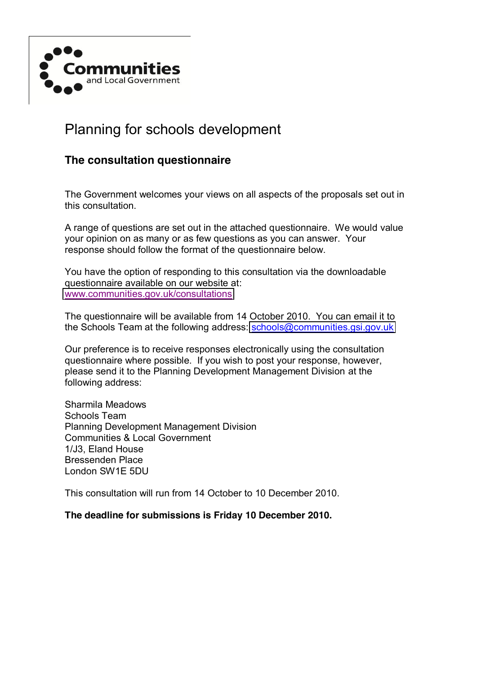

# Planning for schools development

## **The consultation questionnaire**

The Government welcomes your views on all aspects of the proposals set out in this consultation.

A range of questions are set out in the attached questionnaire. We would value your opinion on as many or as few questions as you can answer. Your response should follow the format of the questionnaire below.

You have the option of responding to this consultation via the downloadable questionnaire available on our website at: [www.communities.gov.uk/consultations](http://www.communities.gov.uk/consultations) 

The questionnaire will be available from 14 October 2010. You can email it to the Schools Team at the following address: [schools@communities.gsi.gov.uk](mailto:schools@communities.gsi.gov.uk)

Our preference is to receive responses electronically using the consultation questionnaire where possible. If you wish to post your response, however, please send it to the Planning Development Management Division at the following address:

Sharmila Meadows Schools Team Planning Development Management Division Communities & Local Government 1/J3, Eland House Bressenden Place London SW1E 5DU

This consultation will run from 14 October to 10 December 2010.

**The deadline for submissions is Friday 10 December 2010.**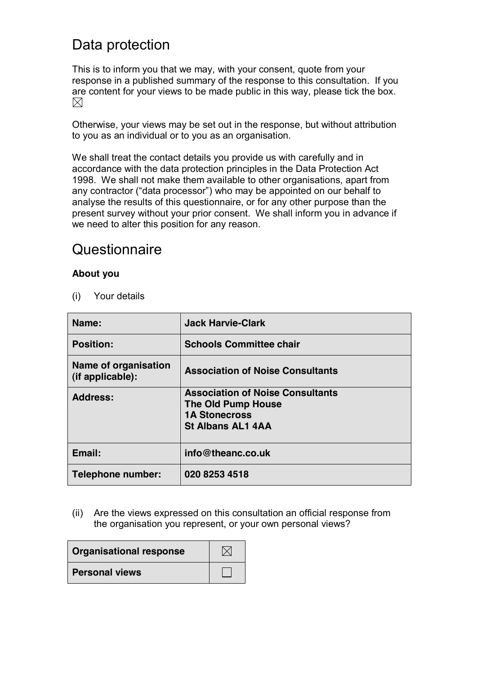# Data protection

This is to inform you that we may, with your consent, quote from your response in a published summary of the response to this consultation. If you are content for your views to be made public in this way, please tick the box.  $\boxtimes$ 

Otherwise, your views may be set out in the response, but without attribution to you as an individual or to you as an organisation.

We shall treat the contact details you provide us with carefully and in accordance with the data protection principles in the Data Protection Act 1998. We shall not make them available to other organisations, apart from any contractor ("data processor") who may be appointed on our behalf to analyse the results of this questionnaire, or for any other purpose than the present survey without your prior consent. We shall inform you in advance if we need to alter this position for any reason.

## **Questionnaire**

## **About you**

(i) Your details

| Name:                                    | <b>Jack Harvie-Clark</b>                                                                                          |
|------------------------------------------|-------------------------------------------------------------------------------------------------------------------|
| <b>Position:</b>                         | <b>Schools Committee chair</b>                                                                                    |
| Name of organisation<br>(if applicable): | <b>Association of Noise Consultants</b>                                                                           |
| <b>Address:</b>                          | <b>Association of Noise Consultants</b><br>The Old Pump House<br><b>1A Stonecross</b><br><b>St Albans AL1 4AA</b> |
| Email:                                   | info@theanc.co.uk                                                                                                 |
| Telephone number:                        | 020 8253 4518                                                                                                     |

(ii) Are the views expressed on this consultation an official response from the organisation you represent, or your own personal views?

| <b>Organisational response</b> |  |
|--------------------------------|--|
| <b>Personal views</b>          |  |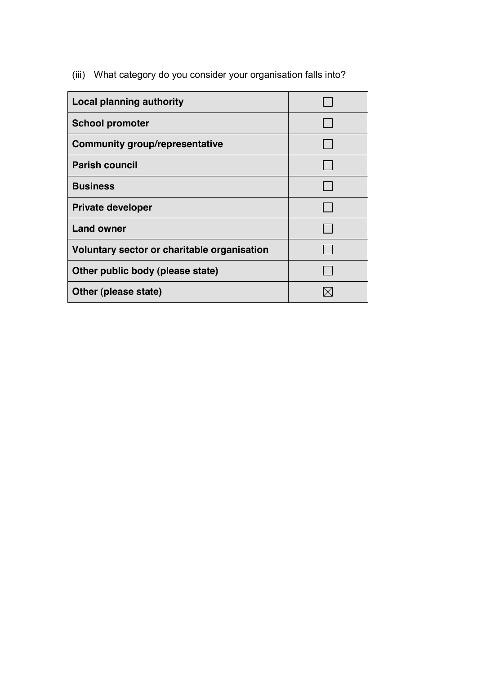(iii) What category do you consider your organisation falls into?

| <b>Local planning authority</b>             |  |
|---------------------------------------------|--|
| <b>School promoter</b>                      |  |
| <b>Community group/representative</b>       |  |
| <b>Parish council</b>                       |  |
| <b>Business</b>                             |  |
| <b>Private developer</b>                    |  |
| <b>Land owner</b>                           |  |
| Voluntary sector or charitable organisation |  |
| Other public body (please state)            |  |
| Other (please state)                        |  |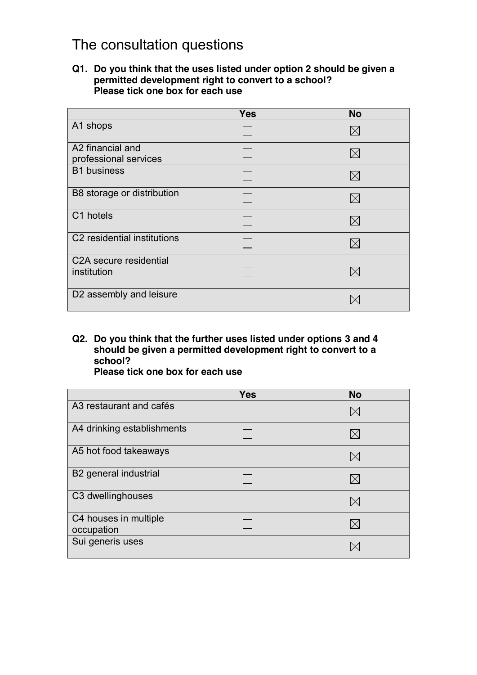# The consultation questions

#### **Q1. Do you think that the uses listed under option 2 should be given a permitted development right to convert to a school? Please tick one box for each use**

|                                           | <b>Yes</b> | <b>No</b>   |
|-------------------------------------------|------------|-------------|
| A1 shops                                  |            | $\bowtie$   |
| A2 financial and<br>professional services |            | $\bowtie$   |
| <b>B1</b> business                        |            | $\bowtie$   |
| B8 storage or distribution                |            | $\bowtie$   |
| C1 hotels                                 |            | IХI         |
| C <sub>2</sub> residential institutions   |            | $\boxtimes$ |
| C2A secure residential<br>institution     |            |             |
| D2 assembly and leisure                   |            |             |

**Q2. Do you think that the further uses listed under options 3 and 4 should be given a permitted development right to convert to a school?**

**Please tick one box for each use**

|                                     | <b>Yes</b> | <b>No</b> |
|-------------------------------------|------------|-----------|
| A3 restaurant and cafés             |            |           |
| A4 drinking establishments          |            |           |
| A5 hot food takeaways               |            |           |
| B2 general industrial               |            |           |
| C3 dwellinghouses                   |            |           |
| C4 houses in multiple<br>occupation |            |           |
| Sui generis uses                    |            |           |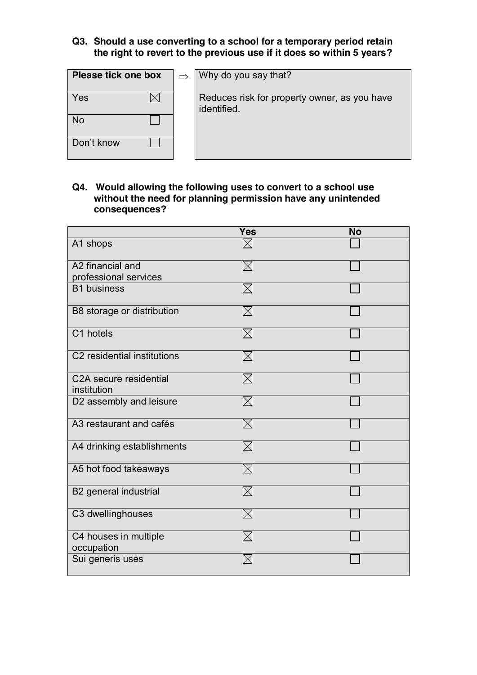#### **Q3. Should a use converting to a school for a temporary period retain the right to revert to the previous use if it does so within 5 years?**

| Please tick one box | $\Rightarrow$ | Why do you say that?                                        |
|---------------------|---------------|-------------------------------------------------------------|
| Yes                 |               | Reduces risk for property owner, as you have<br>identified. |
| <b>No</b>           |               |                                                             |
| Don't know          |               |                                                             |

**Q4. Would allowing the following uses to convert to a school use without the need for planning permission have any unintended consequences?** 

|                                       | <b>Yes</b>  | <b>No</b> |
|---------------------------------------|-------------|-----------|
| A1 shops                              | $\bowtie$   |           |
| A2 financial and                      | $\boxtimes$ |           |
| professional services                 |             |           |
| <b>B1</b> business                    | $\boxtimes$ |           |
| B8 storage or distribution            | $\boxtimes$ |           |
| C1 hotels                             | $\boxtimes$ |           |
| C2 residential institutions           | $\boxtimes$ |           |
| C2A secure residential<br>institution | $\boxtimes$ |           |
| D2 assembly and leisure               | $\boxtimes$ |           |
| A3 restaurant and cafés               | $\boxtimes$ |           |
| A4 drinking establishments            | $\boxtimes$ |           |
| A5 hot food takeaways                 | $\boxtimes$ |           |
| B2 general industrial                 | M           |           |
| C3 dwellinghouses                     | $\boxtimes$ |           |
| C4 houses in multiple<br>occupation   | $\boxtimes$ |           |
| Sui generis uses                      |             |           |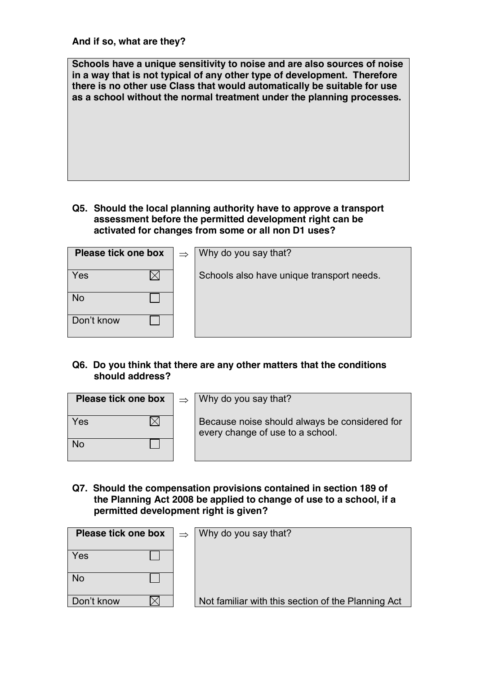**And if so, what are they?**

**Schools have a unique sensitivity to noise and are also sources of noise in a way that is not typical of any other type of development. Therefore there is no other use Class that would automatically be suitable for use as a school without the normal treatment under the planning processes.**

**Q5. Should the local planning authority have to approve a transport assessment before the permitted development right can be activated for changes from some or all non D1 uses?** 

| Please tick one box | $\Rightarrow$ | Why do you say that?                      |
|---------------------|---------------|-------------------------------------------|
| Yes                 |               | Schools also have unique transport needs. |
| <b>No</b>           |               |                                           |
| Don't know          |               |                                           |

**Q6. Do you think that there are any other matters that the conditions should address?**

|     | <b>Please tick one box</b> $\vert \Rightarrow$ Why do you say that?               |
|-----|-----------------------------------------------------------------------------------|
| Yes | Because noise should always be considered for<br>every change of use to a school. |
| No  |                                                                                   |

**Q7. Should the compensation provisions contained in section 189 of the Planning Act 2008 be applied to change of use to a school, if a permitted development right is given?**

| Please tick one box | $\Rightarrow$ | Why do you say that?                               |
|---------------------|---------------|----------------------------------------------------|
| Yes                 |               |                                                    |
| <b>No</b>           |               |                                                    |
| Don't know          |               | Not familiar with this section of the Planning Act |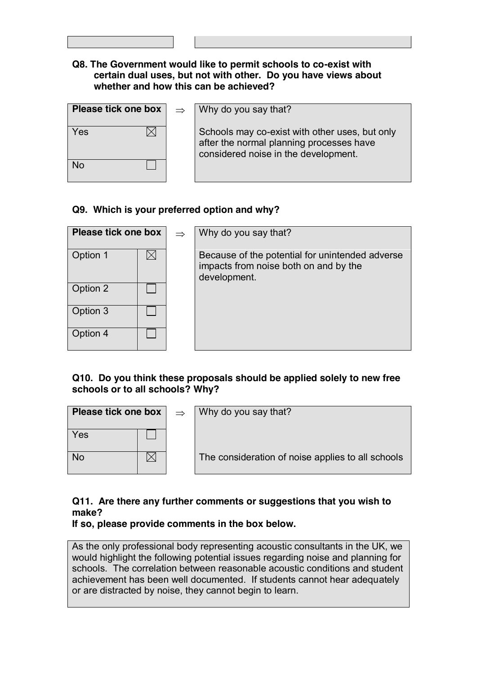#### **Q8. The Government would like to permit schools to co-exist with certain dual uses, but not with other. Do you have views about whether and how this can be achieved?**

| <b>Please tick one box</b> |  |
|----------------------------|--|
| Yes                        |  |
| <b>No</b>                  |  |

 $\Rightarrow$  **Why do you say that?** 

Schools may co-exist with other uses, but only after the normal planning processes have considered noise in the development.

## **Q9. Which is your preferred option and why?**

| Please tick one box |  | $\Rightarrow$ | Why do you say that?                                                                                     |
|---------------------|--|---------------|----------------------------------------------------------------------------------------------------------|
| Option 1            |  |               | Because of the potential for unintended adverse<br>impacts from noise both on and by the<br>development. |
| Option 2            |  |               |                                                                                                          |
| Option 3            |  |               |                                                                                                          |
| Option 4            |  |               |                                                                                                          |

#### **Q10. Do you think these proposals should be applied solely to new free schools or to all schools? Why?**

| Please tick one box |  | $\rightarrow$ | Why do you say that?                              |
|---------------------|--|---------------|---------------------------------------------------|
| Yes                 |  |               |                                                   |
| <b>No</b>           |  |               | The consideration of noise applies to all schools |

## **Q11. Are there any further comments or suggestions that you wish to make?**

## **If so, please provide comments in the box below.**

As the only professional body representing acoustic consultants in the UK, we would highlight the following potential issues regarding noise and planning for schools. The correlation between reasonable acoustic conditions and student achievement has been well documented. If students cannot hear adequately or are distracted by noise, they cannot begin to learn.